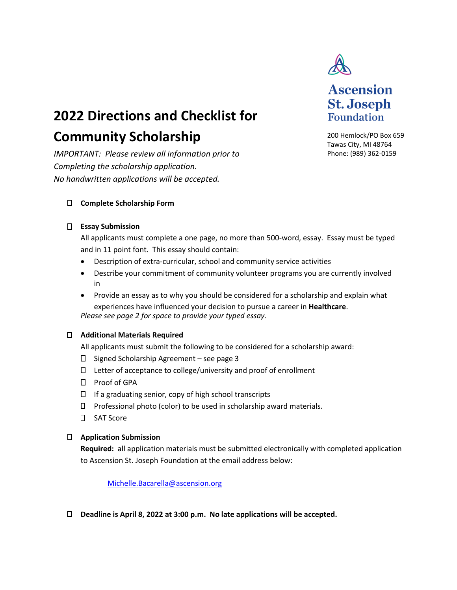

# **2022 Directions and Checklist for**

# **Community Scholarship**

*IMPORTANT: Please review all information prior to Completing the scholarship application. No handwritten applications will be accepted.* 

200 Hemlock/PO Box 659 Tawas City, MI 48764 Phone: (989) 362-0159

**Ascension** 

**St. Joseph Foundation** 

## **Complete Scholarship Form**

#### **Essay Submission**

All applicants must complete a one page, no more than 500-word, essay. Essay must be typed and in 11 point font. This essay should contain:

- Description of extra-curricular, school and community service activities
- Describe your commitment of community volunteer programs you are currently involved in
- Provide an essay as to why you should be considered for a scholarship and explain what experiences have influenced your decision to pursue a career in **Healthcare**. *Please see page 2 for space to provide your typed essay.*

#### **Additional Materials Required**

All applicants must submit the following to be considered for a scholarship award:

- $\square$  Signed Scholarship Agreement see page 3
- $\square$  Letter of acceptance to college/university and proof of enrollment
- $\square$  Proof of GPA
- $\Box$  If a graduating senior, copy of high school transcripts
- $\square$  Professional photo (color) to be used in scholarship award materials.
- SAT Score

## **Application Submission**

**Required:** all application materials must be submitted electronically with completed application to Ascension St. Joseph Foundation at the email address below:

Michelle.Bacarella@ascension.org

**Deadline is April 8, 2022 at 3:00 p.m. No late applications will be accepted.**